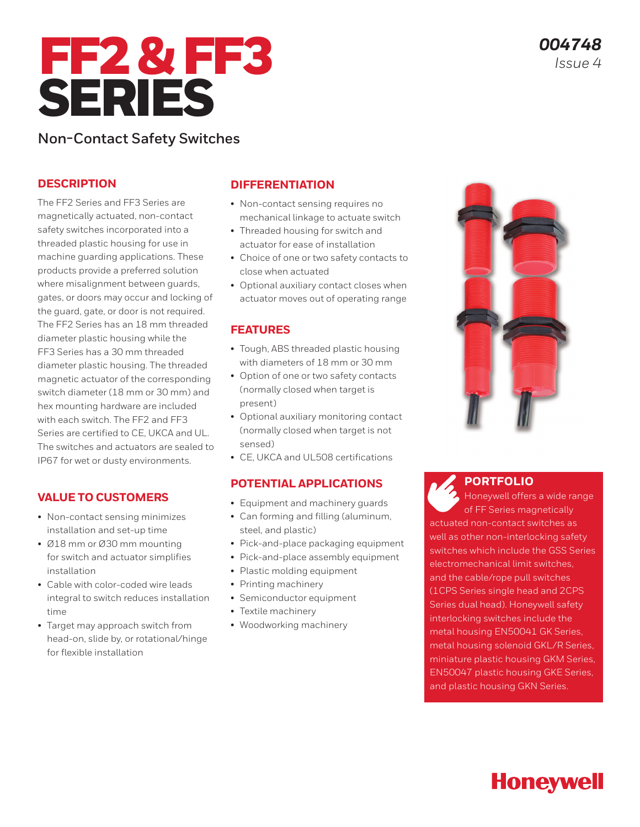

*004748 Issue 4*

### **Non-Contact Safety Switches**

### **DESCRIPTION**

The FF2 Series and FF3 Series are magnetically actuated, non-contact safety switches incorporated into a threaded plastic housing for use in machine guarding applications. These products provide a preferred solution where misalignment between guards, gates, or doors may occur and locking of the guard, gate, or door is not required. The FF2 Series has an 18 mm threaded diameter plastic housing while the FF3 Series has a 30 mm threaded diameter plastic housing. The threaded magnetic actuator of the corresponding switch diameter (18 mm or 30 mm) and hex mounting hardware are included with each switch. The FF2 and FF3 Series are certified to CE, UKCA and UL. The switches and actuators are sealed to IP67 for wet or dusty environments.

### **VALUE TO CUSTOMERS**

- Non-contact sensing minimizes installation and set-up time
- Ø18 mm or Ø30 mm mounting for switch and actuator simplifies installation
- Cable with color-coded wire leads integral to switch reduces installation time
- Target may approach switch from head-on, slide by, or rotational/hinge for flexible installation

### **DIFFERENTIATION**

- Non-contact sensing requires no mechanical linkage to actuate switch
- Threaded housing for switch and actuator for ease of installation
- Choice of one or two safety contacts to close when actuated
- Optional auxiliary contact closes when actuator moves out of operating range

### **FEATURES**

- Tough, ABS threaded plastic housing with diameters of 18 mm or 30 mm
- Option of one or two safety contacts (normally closed when target is present)
- Optional auxiliary monitoring contact (normally closed when target is not sensed)
- CE, UKCA and UL508 certifications

### **POTENTIAL APPLICATIONS**

- Equipment and machinery guards
- Can forming and filling (aluminum, steel, and plastic)
- Pick-and-place packaging equipment
- Pick-and-place assembly equipment
- Plastic molding equipment
- Printing machinery
- Semiconductor equipment
- Textile machinery
- Woodworking machinery



**[PORTFOLIO](https://sps.honeywell.com/us/en/products/sensing-and-iot/switches-and-controls/safety-limit-switches/non-contact-switches)**

Honeywell offers a wide range of FF Series magnetically actuated non-contact switches as well as other non-interlocking safety switches which include the GSS Series electromechanical limit switches, and the cable/rope pull switches (1CPS Series single head and 2CPS Series dual head). Honeywell safety interlocking switches include the metal housing EN50041 GK Series, metal housing solenoid GKL/R Series, miniature plastic housing GKM Series, EN50047 plastic housing GKE Series, and plastic housing GKN Series.

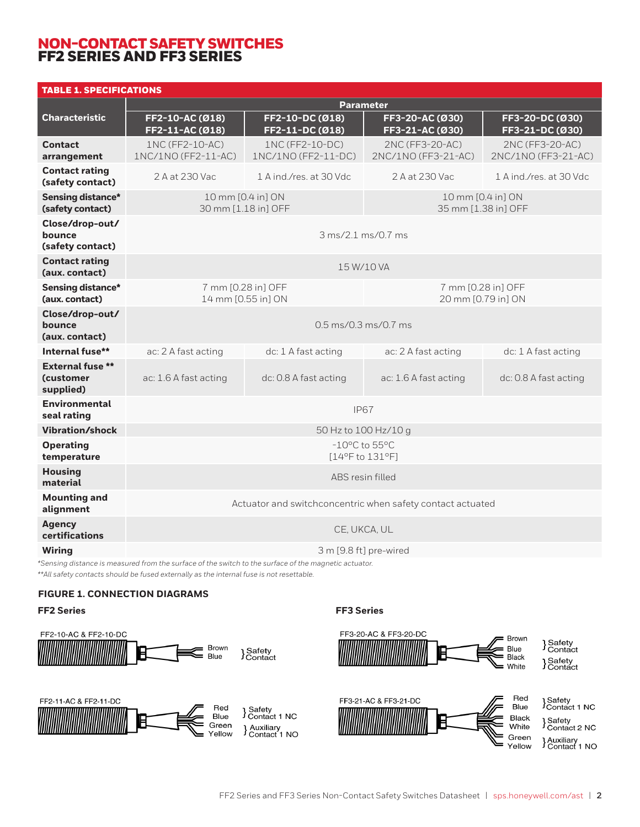### NON-CONTACT SAFETY SWITCHES FF2 SERIES AND FF3 SERIES

| <b>TABLE 1. SPECIFICATIONS</b>                           |                                                            |                                        |                                          |                                        |
|----------------------------------------------------------|------------------------------------------------------------|----------------------------------------|------------------------------------------|----------------------------------------|
|                                                          | <b>Parameter</b>                                           |                                        |                                          |                                        |
| <b>Characteristic</b>                                    | FF2-10-AC (Ø18)<br>FF2-11-AC (Ø18)                         | FF2-10-DC (Ø18)<br>FF2-11-DC (Ø18)     | FF3-20-AC (Ø30)<br>FF3-21-AC (Ø30)       | FF3-20-DC (Ø30)<br>FF3-21-DC (Ø30)     |
| <b>Contact</b><br>arrangement                            | 1NC (FF2-10-AC)<br>1NC/1NO (FF2-11-AC)                     | 1NC (FF2-10-DC)<br>1NC/1NO (FF2-11-DC) | 2NC (FF3-20-AC)<br>2NC/1NO (FF3-21-AC)   | 2NC (FF3-20-AC)<br>2NC/1NO (FF3-21-AC) |
| <b>Contact rating</b><br>(safety contact)                | 2 A at 230 Vac                                             | 1 A ind./res. at 30 Vdc.               | 2 A at 230 Vac                           | 1 A ind./res. at 30 Vdc                |
| <b>Sensing distance*</b><br>(safety contact)             | 10 mm [0.4 in] ON<br>30 mm [1.18 in] OFF                   |                                        | 10 mm [0.4 in] ON<br>35 mm [1.38 in] OFF |                                        |
| Close/drop-out/<br>bounce<br>(safety contact)            | $3 \text{ ms} / 2.1 \text{ ms} / 0.7 \text{ ms}$           |                                        |                                          |                                        |
| <b>Contact rating</b><br>(aux. contact)                  | 15 W/10 VA                                                 |                                        |                                          |                                        |
| <b>Sensing distance*</b><br>(aux. contact)               | 7 mm [0.28 in] OFF<br>14 mm [0.55 in] ON                   |                                        | 7 mm [0.28 in] OFF<br>20 mm [0.79 in] ON |                                        |
| Close/drop-out/<br>bounce<br>(aux. contact)              | $0.5 \text{ ms} / 0.3 \text{ ms} / 0.7 \text{ ms}$         |                                        |                                          |                                        |
| Internal fuse**                                          | ac: 2 A fast acting                                        | dc: 1 A fast acting                    | ac: 2 A fast acting                      | dc: 1 A fast acting                    |
| <b>External fuse **</b><br><b>(customer</b><br>supplied) | ac: 1.6 A fast acting                                      | dc: 0.8 A fast acting                  | ac: 1.6 A fast acting                    | dc: 0.8 A fast acting                  |
| <b>Environmental</b><br>seal rating                      | <b>IP67</b>                                                |                                        |                                          |                                        |
| <b>Vibration/shock</b>                                   | 50 Hz to 100 Hz/10 g                                       |                                        |                                          |                                        |
| <b>Operating</b><br>temperature                          | $-10^{\circ}$ C to 55 $^{\circ}$ C<br>[14°F to 131°F]      |                                        |                                          |                                        |
| <b>Housing</b><br>material                               | ABS resin filled                                           |                                        |                                          |                                        |
| <b>Mounting and</b><br>alignment                         | Actuator and switchconcentric when safety contact actuated |                                        |                                          |                                        |
| <b>Agency</b><br>certifications                          | CE, UKCA, UL                                               |                                        |                                          |                                        |
| <b>Wiring</b>                                            | 3 m [9.8 ft] pre-wired                                     |                                        |                                          |                                        |

*\*Sensing distance is measured from the surface of the switch to the surface of the magnetic actuator.*

*\*\*All safety contacts should be fused externally as the internal fuse is not resettable.*

### **FIGURE 1. CONNECTION DIAGRAMS**





#### FF2-11-AC & FF2-11-DC Red } Safety<br>} Contact 1 NC Blue Green } Auxiliary<br>} Contact 1 NO Yellow



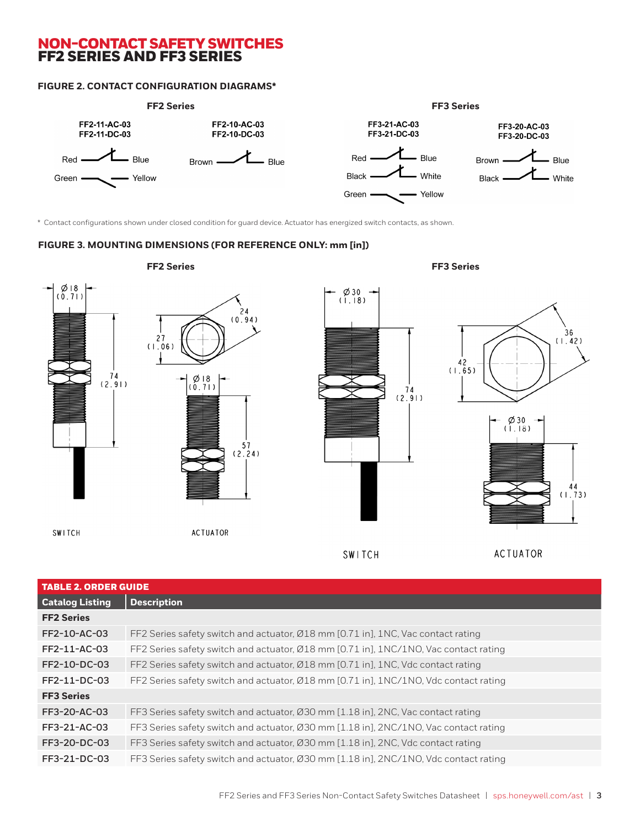### NON-CONTACT SAFETY SWITCHES FF2 SERIES AND FF3 SERIES

### **FIGURE 2. CONTACT CONFIGURATION DIAGRAMS\***



\* Contact configurations shown under closed condition for guard device. Actuator has energized switch contacts, as shown.

#### **FIGURE 3. MOUNTING DIMENSIONS (FOR REFERENCE ONLY: mm [in])**



| <b>TABLE 2. ORDER GUIDE</b> |                                                                                      |  |  |
|-----------------------------|--------------------------------------------------------------------------------------|--|--|
| <b>Catalog Listing</b>      | <b>Description</b>                                                                   |  |  |
| <b>FF2 Series</b>           |                                                                                      |  |  |
| FF2-10-AC-03                | FF2 Series safety switch and actuator, Ø18 mm [0.71 in], 1NC, Vac contact rating     |  |  |
| FF2-11-AC-03                | FF2 Series safety switch and actuator, Ø18 mm [0.71 in], 1NC/1NO, Vac contact rating |  |  |
| FF2-10-DC-03                | FF2 Series safety switch and actuator, Ø18 mm [0.71 in], 1NC, Vdc contact rating     |  |  |
| FF2-11-DC-03                | FF2 Series safety switch and actuator, Ø18 mm [0.71 in], 1NC/1NO, Vdc contact rating |  |  |
| <b>FF3 Series</b>           |                                                                                      |  |  |
| FF3-20-AC-03                | FF3 Series safety switch and actuator, Ø30 mm [1.18 in], 2NC, Vac contact rating     |  |  |
| FF3-21-AC-03                | FF3 Series safety switch and actuator, Ø30 mm [1.18 in], 2NC/1NO, Vac contact rating |  |  |
| FF3-20-DC-03                | FF3 Series safety switch and actuator, Ø30 mm [1.18 in], 2NC, Vdc contact rating     |  |  |
| FF3-21-DC-03                | FF3 Series safety switch and actuator, Ø30 mm [1.18 in], 2NC/1NO, Vdc contact rating |  |  |